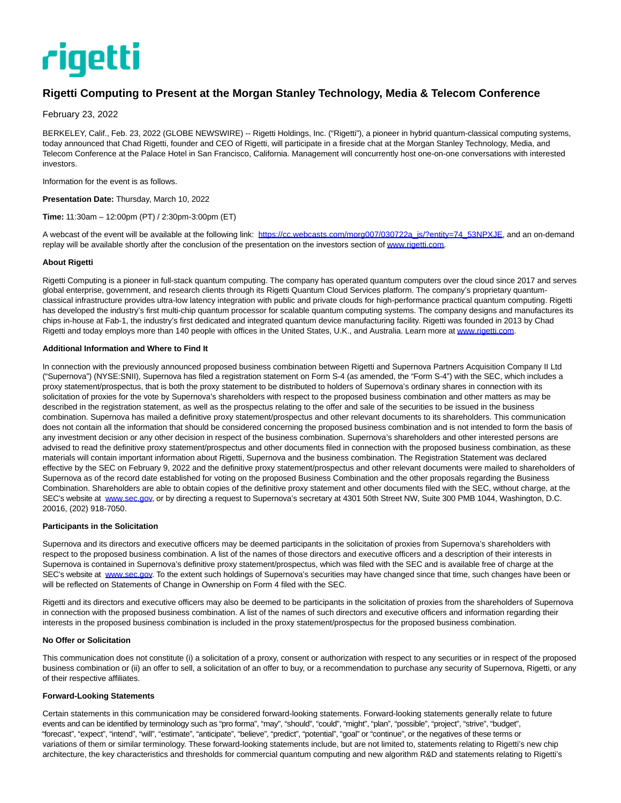

# **Rigetti Computing to Present at the Morgan Stanley Technology, Media & Telecom Conference**

February 23, 2022

BERKELEY, Calif., Feb. 23, 2022 (GLOBE NEWSWIRE) -- Rigetti Holdings, Inc. ("Rigetti"), a pioneer in hybrid quantum-classical computing systems, today announced that Chad Rigetti, founder and CEO of Rigetti, will participate in a fireside chat at the Morgan Stanley Technology, Media, and Telecom Conference at the Palace Hotel in San Francisco, California. Management will concurrently host one-on-one conversations with interested investors.

Information for the event is as follows.

**Presentation Date:** Thursday, March 10, 2022

**Time:** 11:30am – 12:00pm (PT) / 2:30pm-3:00pm (ET)

A webcast of the event will be available at the following link: [https://cc.webcasts.com/morg007/030722a\\_js/?entity=74\\_53NPXJE,](https://www.globenewswire.com/Tracker?data=hUZuM0V4029lOv77J7e7HuPV2P7DaSM3eWwyI7GX_Nu4X0x3EwCoenVcMIS7XK72UtFAIshVFtvGjyZ6Bsds56pi-HAzd3h5OEZmGmVp3gSLlGcUUjDibnUF2cd39rPZwg18ejjZ-U7aAPmxPZaXlcyo4kbolTrGjoCQAFM--xLQMHt1FedkFl1QzlJ5RyDQ) and an on-demand replay will be available shortly after the conclusion of the presentation on the investors section of [www.rigetti.com.](https://www.globenewswire.com/Tracker?data=MycnxskyihPtnL3ZekrZuaQPJqQNlJ3mpgcJrqzO9PvNrjco4ogCMvcYtFZ5PIG8xvmOVwLPE_W4xTSD7oLvRVK4lzLhAevFB5VRSfrNAbKvsltqfm0fcBj7UFtQU08KodATbhKl3Z3ov5yHw58_ShNqi9yx9atpL_5TtAwbZ_IQ3aB1bZHuQZUCtAcLac9QdI0Hm0ona-35z9THo3WAw2Dbft-YqhbN5kuzQAbowkA=)

## **About Rigetti**

Rigetti Computing is a pioneer in full-stack quantum computing. The company has operated quantum computers over the cloud since 2017 and serves global enterprise, government, and research clients through its Rigetti Quantum Cloud Services platform. The company's proprietary quantumclassical infrastructure provides ultra-low latency integration with public and private clouds for high-performance practical quantum computing. Rigetti has developed the industry's first multi-chip quantum processor for scalable quantum computing systems. The company designs and manufactures its chips in-house at Fab-1, the industry's first dedicated and integrated quantum device manufacturing facility. Rigetti was founded in 2013 by Chad Rigetti and today employs more than 140 people with offices in the United States, U.K., and Australia. Learn more a[t www.rigetti.com.](https://www.globenewswire.com/Tracker?data=MycnxskyihPtnL3ZekrZuS1ojGpeNIwRwNMP8l5-EMfOkUayqP7OVvjjxrvMRlB6_E7rFY_08P38zyKotgo_fpq6kJpGoBNkk148BlPZXXF8b3Wok-kQVPm0peQmYDijfKtVmiUvnHJ6fy1tTvDP0X19Hdkcix7mn9lg_KB8pInFMLfFssKPi-ZlK_Bd3rsDut6RoqfZ-jv5Sri14zxyytNpZO9bQv8yY9QTQJj9CXU=)

### **Additional Information and Where to Find It**

In connection with the previously announced proposed business combination between Rigetti and Supernova Partners Acquisition Company II Ltd ("Supernova") (NYSE:SNII), Supernova has filed a registration statement on Form S-4 (as amended, the "Form S-4") with the SEC, which includes a proxy statement/prospectus, that is both the proxy statement to be distributed to holders of Supernova's ordinary shares in connection with its solicitation of proxies for the vote by Supernova's shareholders with respect to the proposed business combination and other matters as may be described in the registration statement, as well as the prospectus relating to the offer and sale of the securities to be issued in the business combination. Supernova has mailed a definitive proxy statement/prospectus and other relevant documents to its shareholders. This communication does not contain all the information that should be considered concerning the proposed business combination and is not intended to form the basis of any investment decision or any other decision in respect of the business combination. Supernova's shareholders and other interested persons are advised to read the definitive proxy statement/prospectus and other documents filed in connection with the proposed business combination, as these materials will contain important information about Rigetti, Supernova and the business combination. The Registration Statement was declared effective by the SEC on February 9, 2022 and the definitive proxy statement/prospectus and other relevant documents were mailed to shareholders of Supernova as of the record date established for voting on the proposed Business Combination and the other proposals regarding the Business Combination. Shareholders are able to obtain copies of the definitive proxy statement and other documents filed with the SEC, without charge, at the SEC's website at [www.sec.gov,](https://www.globenewswire.com/Tracker?data=OqnKTKZKH0AypbGgsHl-30UI9vdv0Y5cNVVw63846NBUURx7L18-yhmPDKss5YToLWcye74BqhSVqWpTygnA5g0cZ2vOGaZrmFl6LH5Kv0MlPp1oX1YhlpE24BDfO6XIJdtogHNbl1rD-_SsjYehiLaxhQhrFLKFAH3KEsiv5rctzfo14_a1xVzpz8EjnuwveT_yDDFFGyDVbkVGJgf60HKaSm7uu78BCaEaYCMc4Do=) or by directing a request to Supernova's secretary at 4301 50th Street NW, Suite 300 PMB 1044, Washington, D.C. 20016, (202) 918-7050.

#### **Participants in the Solicitation**

Supernova and its directors and executive officers may be deemed participants in the solicitation of proxies from Supernova's shareholders with respect to the proposed business combination. A list of the names of those directors and executive officers and a description of their interests in Supernova is contained in Supernova's definitive proxy statement/prospectus, which was filed with the SEC and is available free of charge at the SEC's website at [www.sec.gov.](https://www.globenewswire.com/Tracker?data=OqnKTKZKH0AypbGgsHl-32daL9yk__piiZ5vNb3uIcCzlY2Vob_jlUUGz3gDu9GnxtdCQEj7fIp6dAeCjS5NTHOPnwf3xsZ0-Z-aFOoaJ8ByVmRyXIWJpfnTLiiMWJbntsz62U_yYcyr-iHCT1CxZP__wGRmn7YBoZM_iuE6gvzvGkupWhJshIgjNPBOiCXj7uNtfbjNPGdvJbp4sIbsAnKpqyg2FjE7Yn8IH-o6fxQ=) To the extent such holdings of Supernova's securities may have changed since that time, such changes have been or will be reflected on Statements of Change in Ownership on Form 4 filed with the SEC.

Rigetti and its directors and executive officers may also be deemed to be participants in the solicitation of proxies from the shareholders of Supernova in connection with the proposed business combination. A list of the names of such directors and executive officers and information regarding their interests in the proposed business combination is included in the proxy statement/prospectus for the proposed business combination.

## **No Offer or Solicitation**

This communication does not constitute (i) a solicitation of a proxy, consent or authorization with respect to any securities or in respect of the proposed business combination or (ii) an offer to sell, a solicitation of an offer to buy, or a recommendation to purchase any security of Supernova, Rigetti, or any of their respective affiliates.

## **Forward-Looking Statements**

Certain statements in this communication may be considered forward-looking statements. Forward-looking statements generally relate to future events and can be identified by terminology such as "pro forma", "may", "should", "could", "might", "plan", "possible", "project", "strive", "budget", "forecast", "expect", "intend", "will", "estimate", "anticipate", "believe", "predict", "potential", "goal" or "continue", or the negatives of these terms or variations of them or similar terminology. These forward-looking statements include, but are not limited to, statements relating to Rigetti's new chip architecture, the key characteristics and thresholds for commercial quantum computing and new algorithm R&D and statements relating to Rigetti's